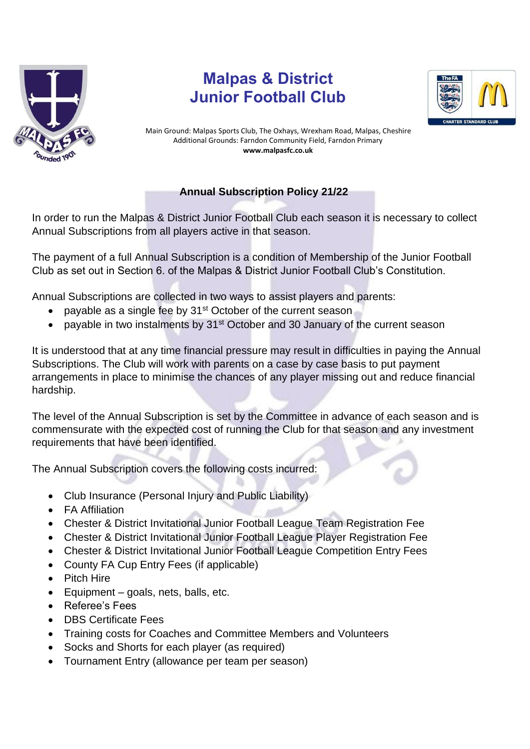

## **Malpas & District Junior Football Club**



Main Ground: Malpas Sports Club, The Oxhays, Wrexham Road, Malpas, Cheshire Additional Grounds: Farndon Community Field, Farndon Primary **www.malpasfc.co.uk** 

## **Annual Subscription Policy 21/22**

In order to run the Malpas & District Junior Football Club each season it is necessary to collect Annual Subscriptions from all players active in that season.

The payment of a full Annual Subscription is a condition of Membership of the Junior Football Club as set out in Section 6. of the Malpas & District Junior Football Club's Constitution.

Annual Subscriptions are collected in two ways to assist players and parents:

- payable as a single fee by 31<sup>st</sup> October of the current season
- payable in two instalments by 31<sup>st</sup> October and 30 January of the current season

It is understood that at any time financial pressure may result in difficulties in paying the Annual Subscriptions. The Club will work with parents on a case by case basis to put payment arrangements in place to minimise the chances of any player missing out and reduce financial hardship.

The level of the Annual Subscription is set by the Committee in advance of each season and is commensurate with the expected cost of running the Club for that season and any investment requirements that have been identified.

The Annual Subscription covers the following costs incurred:

- Club Insurance (Personal Injury and Public Liability)
- FA Affiliation
- Chester & District Invitational Junior Football League Team Registration Fee
- Chester & District Invitational Junior Football League Player Registration Fee
- Chester & District Invitational Junior Football League Competition Entry Fees
- County FA Cup Entry Fees (if applicable)
- Pitch Hire
- Equipment goals, nets, balls, etc.
- Referee's Fees
- DBS Certificate Fees
- Training costs for Coaches and Committee Members and Volunteers
- Socks and Shorts for each player (as required)
- Tournament Entry (allowance per team per season)